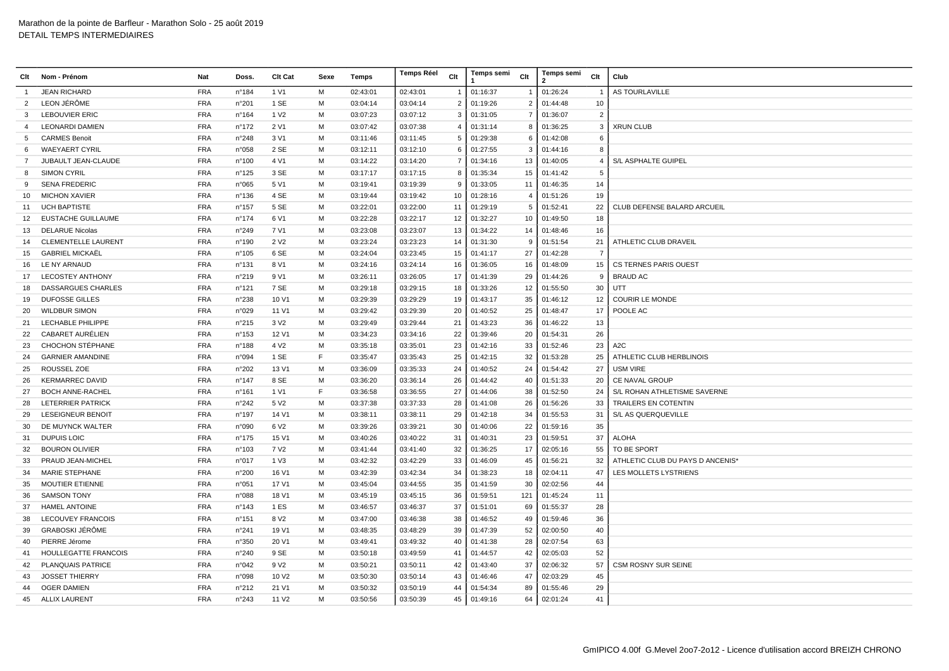| Clt            | Nom - Prénom               | Nat        | Doss.           | Clt Cat           | Sexe | Temps    | <b>Temps Réel</b> | Clt            | Temps semi | Clt            | Temps semi<br>$\overline{2}$ | Clt            | Club                             |
|----------------|----------------------------|------------|-----------------|-------------------|------|----------|-------------------|----------------|------------|----------------|------------------------------|----------------|----------------------------------|
| -1             | <b>JEAN RICHARD</b>        | <b>FRA</b> | n°184           | 1 V1              | M    | 02:43:01 | 02:43:01          |                | 01:16:37   | $\mathbf{1}$   | 01:26:24                     | -1             | <b>AS TOURLAVILLE</b>            |
| 2              | LEON JÉRÔME                | <b>FRA</b> | n°201           | 1 SE              | M    | 03:04:14 | 03:04:14          | $\overline{2}$ | 01:19:26   | $\overline{2}$ | 01:44:48                     | 10             |                                  |
| 3              | <b>LEBOUVIER ERIC</b>      | <b>FRA</b> | n°164           | 1 V <sub>2</sub>  | M    | 03:07:23 | 03:07:12          | 3              | 01:31:05   | $\overline{7}$ | 01:36:07                     | $\overline{2}$ |                                  |
| $\overline{4}$ | <b>LEONARDI DAMIEN</b>     | <b>FRA</b> | n°172           | 2 V1              | M    | 03:07:42 | 03:07:38          | $\overline{4}$ | 01:31:14   | 8              | 01:36:25                     | 3              | <b>XRUN CLUB</b>                 |
| 5              | <b>CARMES Benoit</b>       | <b>FRA</b> | n°248           | 3 V1              | M    | 03:11:46 | 03:11:45          | 5              | 01:29:38   | 6              | 01:42:08                     | 6              |                                  |
| 6              | <b>WAEYAERT CYRIL</b>      | <b>FRA</b> | n°058           | 2 SE              | M    | 03:12:11 | 03:12:10          | 6              | 01:27:55   | 3              | 01:44:16                     | 8              |                                  |
| $\overline{7}$ | JUBAULT JEAN-CLAUDE        | <b>FRA</b> | n°100           | 4 V1              | M    | 03:14:22 | 03:14:20          | $\overline{7}$ | 01:34:16   | 13             | 01:40:05                     | $\overline{4}$ | S/L ASPHALTE GUIPEL              |
| 8              | <b>SIMON CYRIL</b>         | <b>FRA</b> | n°125           | 3 SE              | M    | 03:17:17 | 03:17:15          | 8              | 01:35:34   | 15             | 01:41:42                     | 5              |                                  |
| 9              | <b>SENA FREDERIC</b>       | <b>FRA</b> | n°065           | 5 V1              | M    | 03:19:41 | 03:19:39          | 9              | 01:33:05   | 11             | 01:46:35                     | 14             |                                  |
| 10             | <b>MICHON XAVIER</b>       | <b>FRA</b> | n°136           | 4 SE              | M    | 03:19:44 | 03:19:42          | 10             | 01:28:16   | $\overline{4}$ | 01:51:26                     | 19             |                                  |
| 11             | <b>UCH BAPTISTE</b>        | <b>FRA</b> | $n^{\circ}$ 157 | 5 SE              | M    | 03:22:01 | 03:22:00          | 11             | 01:29:19   | 5              | 01:52:41                     | 22             | CLUB DEFENSE BALARD ARCUEIL      |
| 12             | EUSTACHE GUILLAUME         | <b>FRA</b> | n°174           | 6 V1              | M    | 03:22:28 | 03:22:17          | 12             | 01:32:27   | 10             | 01:49:50                     | 18             |                                  |
| 13             | <b>DELARUE Nicolas</b>     | <b>FRA</b> | n°249           | 7 V1              | M    | 03:23:08 | 03:23:07          | 13             | 01:34:22   | 14             | 01:48:46                     | 16             |                                  |
| 14             | <b>CLEMENTELLE LAURENT</b> | <b>FRA</b> | n°190           | 2 V <sub>2</sub>  | M    | 03:23:24 | 03:23:23          | 14             | 01:31:30   | 9              | 01:51:54                     | 21             | ATHLETIC CLUB DRAVEIL            |
| 15             | <b>GABRIEL MICKAËL</b>     | <b>FRA</b> | n°105           | 6 SE              | M    | 03:24:04 | 03:23:45          | 15             | 01:41:17   | 27             | 01:42:28                     | $\overline{7}$ |                                  |
| 16             | LE NY ARNAUD               | <b>FRA</b> | $n^{\circ}$ 131 | 8 V1              | M    | 03:24:16 | 03:24:14          | 16             | 01:36:05   | 16             | 01:48:09                     | 15             | <b>CS TERNES PARIS OUEST</b>     |
| 17             | <b>LECOSTEY ANTHONY</b>    | <b>FRA</b> | n°219           | 9 V1              | M    | 03:26:11 | 03:26:05          | 17             | 01:41:39   | 29             | 01:44:26                     | 9              | <b>BRAUD AC</b>                  |
| 18             | <b>DASSARGUES CHARLES</b>  | <b>FRA</b> | n°121           | 7 SE              | M    | 03:29:18 | 03:29:15          | 18             | 01:33:26   | 12             | 01:55:50                     | 30             | UTT                              |
| 19             | <b>DUFOSSE GILLES</b>      | <b>FRA</b> | n°238           | 10 V1             | M    | 03:29:39 | 03:29:29          | 19             | 01:43:17   | 35             | 01:46:12                     | 12             | <b>COURIR LE MONDE</b>           |
| 20             | <b>WILDBUR SIMON</b>       | <b>FRA</b> | n°029           | 11 V1             | M    | 03:29:42 | 03:29:39          | 20             | 01:40:52   | 25             | 01:48:47                     | 17             | POOLE AC                         |
| 21             | LECHABLE PHILIPPE          | <b>FRA</b> | n°215           | 3 V <sub>2</sub>  | M    | 03:29:49 | 03:29:44          | 21             | 01:43:23   | 36             | 01:46:22                     | 13             |                                  |
| 22             | CABARET AURÉLIEN           | <b>FRA</b> | n°153           | 12 V1             | M    | 03:34:23 | 03:34:16          | 22             | 01:39:46   | 20             | 01:54:31                     | 26             |                                  |
| 23             | <b>CHOCHON STÉPHANE</b>    | <b>FRA</b> | n°188           | 4 V <sub>2</sub>  | M    | 03:35:18 | 03:35:01          | 23             | 01:42:16   | 33             | 01:52:46                     | 23             | A <sub>2</sub> C                 |
| 24             | <b>GARNIER AMANDINE</b>    | <b>FRA</b> | n°094           | 1 SE              | F    | 03:35:47 | 03:35:43          | 25             | 01:42:15   | 32             | 01:53:28                     | 25             | ATHLETIC CLUB HERBLINOIS         |
| 25             | ROUSSEL ZOE                | <b>FRA</b> | n°202           | 13 V1             | M    | 03:36:09 | 03:35:33          | 24             | 01:40:52   | 24             | 01:54:42                     | 27             | <b>USM VIRE</b>                  |
| 26             | <b>KERMARREC DAVID</b>     | <b>FRA</b> | n°147           | 8 SE              | M    | 03:36:20 | 03:36:14          | 26             | 01:44:42   | 40             | 01:51:33                     | 20             | <b>CE NAVAL GROUP</b>            |
| 27             | <b>BOCH ANNE-RACHEL</b>    | <b>FRA</b> | n°161           | 1 V1              | F    | 03:36:58 | 03:36:55          | 27             | 01:44:06   | 38             | 01:52:50                     | 24             | S/L ROHAN ATHLETISME SAVERNE     |
| 28             | LETERRIER PATRICK          | <b>FRA</b> | n°242           | 5 V <sub>2</sub>  | M    | 03:37:38 | 03:37:33          | 28             | 01:41:08   | 26             | 01:56:26                     | 33             | <b>TRAILERS EN COTENTIN</b>      |
| 29             | <b>LESEIGNEUR BENOIT</b>   | <b>FRA</b> | n°197           | 14 V1             | M    | 03:38:11 | 03:38:11          | 29             | 01:42:18   | 34             | 01:55:53                     | 31             | S/L AS QUERQUEVILLE              |
| 30             | DE MUYNCK WALTER           | <b>FRA</b> | n°090           | 6 V <sub>2</sub>  | M    | 03:39:26 | 03:39:21          | 30             | 01:40:06   | 22             | 01:59:16                     | 35             |                                  |
| 31             | <b>DUPUIS LOIC</b>         | <b>FRA</b> | $n^{\circ}$ 175 | 15 V1             | M    | 03:40:26 | 03:40:22          | 31             | 01:40:31   | 23             | 01:59:51                     | 37             | <b>ALOHA</b>                     |
| 32             | <b>BOURON OLIVIER</b>      | <b>FRA</b> | n°103           | 7 V <sub>2</sub>  | M    | 03:41:44 | 03:41:40          | 32             | 01:36:25   | 17             | 02:05:16                     | 55             | TO BE SPORT                      |
| 33             | PRAUD JEAN-MICHEL          | <b>FRA</b> | n°017           | 1 V3              | M    | 03:42:32 | 03:42:29          | 33             | 01:46:09   | 45             | 01:56:21                     | 32             | ATHLETIC CLUB DU PAYS D ANCENIS* |
| 34             | <b>MARIE STEPHANE</b>      | <b>FRA</b> | n°200           | 16 V1             | M    | 03:42:39 | 03:42:34          | 34             | 01:38:23   | 18             | 02:04:11                     | 47             | LES MOLLETS LYSTRIENS            |
| 35             | <b>MOUTIER ETIENNE</b>     | <b>FRA</b> | n°051           | 17 V1             | M    | 03:45:04 | 03:44:55          | 35             | 01:41:59   | 30             | 02:02:56                     | 44             |                                  |
| 36             | <b>SAMSON TONY</b>         | <b>FRA</b> | n°088           | 18 V1             | M    | 03:45:19 | 03:45:15          | 36             | 01:59:51   | 121            | 01:45:24                     | 11             |                                  |
| 37             | <b>HAMEL ANTOINE</b>       | <b>FRA</b> | n°143           | 1 ES              | M    | 03:46:57 | 03:46:37          | 37             | 01:51:01   | 69             | 01:55:37                     | 28             |                                  |
| 38             | <b>LECOUVEY FRANCOIS</b>   | <b>FRA</b> | n°151           | 8 V <sub>2</sub>  | M    | 03:47:00 | 03:46:38          | 38             | 01:46:52   | 49             | 01:59:46                     | 36             |                                  |
| 39             | <b>GRABOSKI JÉRÔME</b>     | <b>FRA</b> | n°241           | 19 V1             | M    | 03:48:35 | 03:48:29          | 39             | 01:47:39   | 52             | 02:00:50                     | 40             |                                  |
| 40             | PIERRE Jérome              | <b>FRA</b> | n°350           | 20 V1             | M    | 03:49:41 | 03:49:32          | 40             | 01:41:38   | 28             | 02:07:54                     | 63             |                                  |
| 41             | HOULLEGATTE FRANCOIS       | <b>FRA</b> | n°240           | 9 SE              | M    | 03:50:18 | 03:49:59          | 41             | 01:44:57   | 42             | 02:05:03                     | 52             |                                  |
| 42             | <b>PLANQUAIS PATRICE</b>   | <b>FRA</b> | n°042           | 9 V <sub>2</sub>  | M    | 03:50:21 | 03:50:11          | 42             | 01:43:40   | 37             | 02:06:32                     | 57             | <b>CSM ROSNY SUR SEINE</b>       |
| 43             | <b>JOSSET THIERRY</b>      | <b>FRA</b> | n°098           | 10 V <sub>2</sub> | M    | 03:50:30 | 03:50:14          | 43             | 01:46:46   | 47             | 02:03:29                     | 45             |                                  |
| 44             | <b>OGER DAMIEN</b>         | <b>FRA</b> | n°212           | 21 V1             | M    | 03:50:32 | 03:50:19          | 44             | 01:54:34   | 89             | 01:55:46                     | 29             |                                  |
| 45             | <b>ALLIX LAURENT</b>       | <b>FRA</b> | n°243           | 11 V <sub>2</sub> | М    | 03:50:56 | 03:50:39          | 45             | 01:49:16   | 64             | 02:01:24                     | 41             |                                  |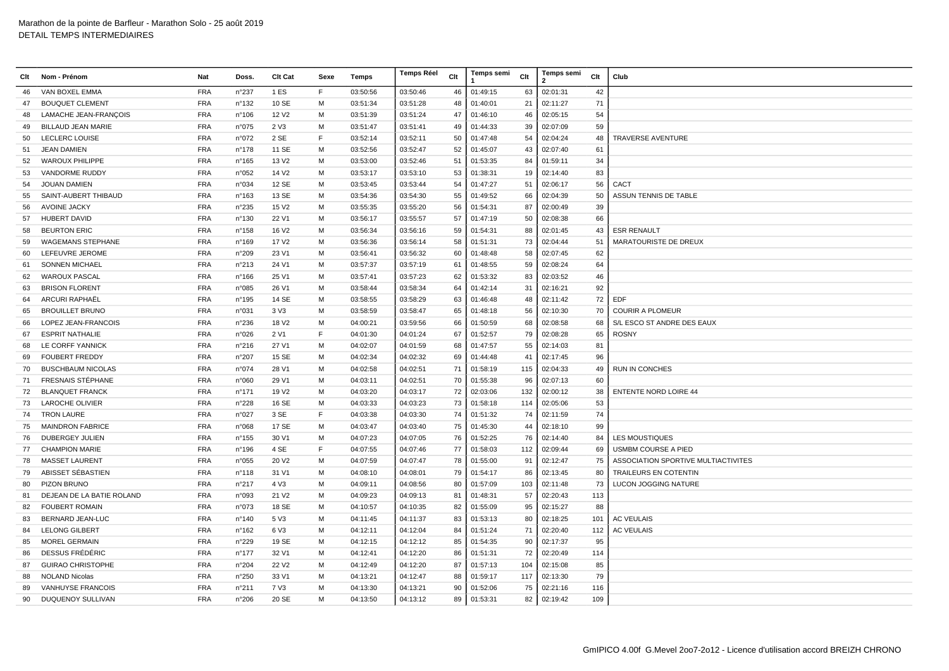| Clt | Nom - Prénom              | Nat                      | Doss.           | Clt Cat           | Sexe   | Temps    | <b>Temps Réel</b> | Clt | Temps semi | Clt | <b>Temps semi</b><br>2 | Clt | Club                                |
|-----|---------------------------|--------------------------|-----------------|-------------------|--------|----------|-------------------|-----|------------|-----|------------------------|-----|-------------------------------------|
| 46  | VAN BOXEL EMMA            | <b>FRA</b>               | n°237           | 1 ES              | F.     | 03:50:56 | 03:50:46          | 46  | 01:49:15   | 63  | 02:01:31               | 42  |                                     |
| 47  | <b>BOUQUET CLEMENT</b>    | <b>FRA</b>               | n°132           | 10 SE             | м      | 03:51:34 | 03:51:28          | 48  | 01:40:01   | 21  | 02:11:27               | 71  |                                     |
| 48  | LAMACHE JEAN-FRANÇOIS     | <b>FRA</b>               | n°106           | 12 V <sub>2</sub> | м      | 03:51:39 | 03:51:24          | 47  | 01:46:10   | 46  | 02:05:15               | 54  |                                     |
| 49  | <b>BILLAUD JEAN MARIE</b> | <b>FRA</b>               | n°075           | 2 V3              | м      | 03:51:47 | 03:51:41          | 49  | 01:44:33   | 39  | 02:07:09               | 59  |                                     |
| 50  | <b>LECLERC LOUISE</b>     | <b>FRA</b>               | n°072           | 2 SE              | F      | 03:52:14 | 03:52:11          | 50  | 01:47:48   | 54  | 02:04:24               | 48  | <b>TRAVERSE AVENTURE</b>            |
| 51  | <b>JEAN DAMIEN</b>        | <b>FRA</b>               | $n^{\circ}$ 178 | 11 SE             | M      | 03:52:56 | 03:52:47          | 52  | 01:45:07   | 43  | 02:07:40               | 61  |                                     |
| 52  | <b>WAROUX PHILIPPE</b>    | <b>FRA</b>               | $n^{\circ}165$  | 13 V <sub>2</sub> | M      | 03:53:00 | 03:52:46          | 51  | 01:53:35   | 84  | 01:59:11               | 34  |                                     |
| 53  | VANDORME RUDDY            | <b>FRA</b>               | n°052           | 14 V <sub>2</sub> | м      | 03:53:17 | 03:53:10          | 53  | 01:38:31   | 19  | 02:14:40               | 83  |                                     |
| 54  | <b>JOUAN DAMIEN</b>       | <b>FRA</b>               | n°034           | 12 SE             | м      | 03:53:45 | 03:53:44          | 54  | 01:47:27   | 51  | 02:06:17               | 56  | CACT                                |
| 55  | SAINT-AUBERT THIBAUD      | <b>FRA</b>               | n°163           | 13 SE             | M      | 03:54:36 | 03:54:30          | 55  | 01:49:52   | 66  | 02:04:39               | 50  | ASSUN TENNIS DE TABLE               |
| 56  | <b>AVOINE JACKY</b>       | <b>FRA</b>               | n°235           | 15 V <sub>2</sub> | м      | 03:55:35 | 03:55:20          | 56  | 01:54:31   | 87  | 02:00:49               | 39  |                                     |
| 57  | <b>HUBERT DAVID</b>       | <b>FRA</b>               | n°130           | 22 V1             | м      | 03:56:17 | 03:55:57          | 57  | 01:47:19   | 50  | 02:08:38               | 66  |                                     |
| 58  | <b>BEURTON ERIC</b>       | <b>FRA</b>               | $n^{\circ}$ 158 | 16 V <sub>2</sub> | M      | 03:56:34 | 03:56:16          | 59  | 01:54:31   | 88  | 02:01:45               | 43  | <b>ESR RENAULT</b>                  |
| 59  | <b>WAGEMANS STEPHANE</b>  | <b>FRA</b>               | n°169           | 17 V <sub>2</sub> | м      | 03:56:36 | 03:56:14          | 58  | 01:51:31   | 73  | 02:04:44               | 51  | <b>MARATOURISTE DE DREUX</b>        |
| 60  | LEFEUVRE JEROME           | <b>FRA</b>               | n°209           | 23 V1             | M      | 03:56:41 | 03:56:32          | 60  | 01:48:48   | 58  | 02:07:45               | 62  |                                     |
| 61  | <b>SONNEN MICHAEL</b>     | <b>FRA</b>               | n°213           | 24 V1             | м      | 03:57:37 | 03:57:19          | 61  | 01:48:55   | 59  | 02:08:24               | 64  |                                     |
| 62  | <b>WAROUX PASCAL</b>      | <b>FRA</b>               | n°166           | 25 V1             | м      | 03:57:41 | 03:57:23          | 62  | 01:53:32   | 83  | 02:03:52               | 46  |                                     |
| 63  | <b>BRISON FLORENT</b>     | <b>FRA</b>               | n°085           | 26 V1             | м      | 03:58:44 | 03:58:34          | 64  | 01:42:14   | 31  | 02:16:21               | 92  |                                     |
| 64  | ARCURI RAPHAËL            | <b>FRA</b>               | $n^{\circ}$ 195 | 14 SE             | М      | 03:58:55 | 03:58:29          | 63  | 01:46:48   | 48  | 02:11:42               | 72  | <b>EDF</b>                          |
| 65  | <b>BROUILLET BRUNO</b>    | <b>FRA</b>               | n°031           | 3 V3              | M      | 03:58:59 | 03:58:47          | 65  | 01:48:18   | 56  | 02:10:30               | 70  | <b>COURIR A PLOMEUR</b>             |
| 66  | LOPEZ JEAN-FRANCOIS       | <b>FRA</b>               | n°236           | 18 V <sub>2</sub> | м      | 04:00:21 | 03:59:56          | 66  | 01:50:59   | 68  | 02:08:58               | 68  | S/L ESCO ST ANDRE DES EAUX          |
| 67  | <b>ESPRIT NATHALIE</b>    | <b>FRA</b>               | n°026           | 2 V1              | E      | 04:01:30 | 04:01:24          | 67  | 01:52:57   | 79  | 02:08:28               | 65  | <b>ROSNY</b>                        |
| 68  | LE CORFF YANNICK          | <b>FRA</b>               | n°216           | 27 V1             | м      | 04:02:07 | 04:01:59          | 68  | 01:47:57   | 55  | 02:14:03               | 81  |                                     |
| 69  | <b>FOUBERT FREDDY</b>     | <b>FRA</b>               | n°207           | 15 SE             | м      | 04:02:34 | 04:02:32          | 69  | 01:44:48   | 41  | 02:17:45               | 96  |                                     |
| 70  | <b>BUSCHBAUM NICOLAS</b>  | <b>FRA</b>               | n°074           | 28 V1             | м      | 04:02:58 | 04:02:51          | 71  | 01:58:19   | 115 | 02:04:33               | 49  | RUN IN CONCHES                      |
| 71  | <b>FRESNAIS STÉPHANE</b>  | <b>FRA</b>               | n°060           | 29 V1             | M      | 04:03:11 | 04:02:51          | 70  | 01:55:38   | 96  | 02:07:13               | 60  |                                     |
| 72  | <b>BLANQUET FRANCK</b>    | <b>FRA</b>               | n°171           | 19 V <sub>2</sub> | M      | 04:03:20 | 04:03:17          | 72  | 02:03:06   | 132 | 02:00:12               | 38  | <b>ENTENTE NORD LOIRE 44</b>        |
| 73  | <b>LAROCHE OLIVIER</b>    | <b>FRA</b>               | n°228           | 16 SE             | M      | 04:03:33 | 04:03:23          | 73  | 01:58:18   | 114 | 02:05:06               | 53  |                                     |
| 74  | <b>TRON LAURE</b>         | <b>FRA</b>               | n°027           | 3 SE              | F      | 04:03:38 | 04:03:30          | 74  | 01:51:32   | 74  | 02:11:59               | 74  |                                     |
| 75  | <b>MAINDRON FABRICE</b>   | <b>FRA</b>               | n°068           | 17 SE             | М      | 04:03:47 | 04:03:40          | 75  | 01:45:30   | 44  | 02:18:10               | 99  |                                     |
| 76  | DUBERGEY JULIEN           | <b>FRA</b>               | $n^{\circ}$ 155 | 30 V1             | м      | 04:07:23 | 04:07:05          | 76  | 01:52:25   | 76  | 02:14:40               | 84  | <b>LES MOUSTIQUES</b>               |
| 77  | <b>CHAMPION MARIE</b>     | <b>FRA</b>               | $n^{\circ}$ 196 | 4 SE              | F      | 04:07:55 | 04:07:46          | 77  | 01:58:03   | 112 | 02:09:44               | 69  | <b>USMBM COURSE A PIED</b>          |
| 78  | <b>MASSET LAURENT</b>     | <b>FRA</b>               | n°055           | 20 V <sub>2</sub> | M      | 04:07:59 | 04:07:47          | 78  | 01:55:00   | 91  | 02:12:47               | 75  | ASSOCIATION SPORTIVE MULTIACTIVITES |
| 79  | ABISSET SÉBASTIEN         | <b>FRA</b>               | $n^{\circ}$ 118 | 31 V1             | M      | 04:08:10 | 04:08:01          | 79  | 01:54:17   | 86  | 02:13:45               | 80  | <b>TRAILEURS EN COTENTIN</b>        |
| 80  | PIZON BRUNO               | <b>FRA</b>               | n°217           | 4 V3              | м      | 04:09:11 | 04:08:56          | 80  | 01:57:09   | 103 | 02:11:48               | 73  | LUCON JOGGING NATURE                |
| 81  | DEJEAN DE LA BATIE ROLAND | <b>FRA</b>               | n°093           | 21 V <sub>2</sub> | м      | 04:09:23 | 04:09:13          | 81  | 01:48:31   | 57  | 02:20:43               | 113 |                                     |
| 82  | <b>FOUBERT ROMAIN</b>     | <b>FRA</b>               | n°073           | 18 SE             | M      | 04:10:57 | 04:10:35          | 82  | 01:55:09   | 95  | 02:15:27               | 88  |                                     |
| 83  | BERNARD JEAN-LUC          | <b>FRA</b>               | n°140           | 5 V3              | м      | 04:11:45 | 04:11:37          | 83  | 01:53:13   | 80  | 02:18:25               | 101 | <b>AC VEULAIS</b>                   |
| 84  | <b>LELONG GILBERT</b>     | <b>FRA</b>               | $n^{\circ}$ 162 | 6 V3              | м      | 04:12:11 | 04:12:04          | 84  | 01:51:24   | 71  | 02:20:40               | 112 | <b>AC VEULAIS</b>                   |
| 85  | <b>MOREL GERMAIN</b>      | <b>FRA</b>               | n°229           | 19 SE             | м      | 04:12:15 | 04:12:12          | 85  | 01:54:35   | 90  | 02:17:37               | 95  |                                     |
| 86  | DESSUS FRÉDÉRIC           | <b>FRA</b>               | $n^{\circ}$ 177 | 32 V1             | м      | 04:12:41 | 04:12:20          | 86  | 01:51:31   | 72  | 02:20:49               | 114 |                                     |
| 87  | <b>GUIRAO CHRISTOPHE</b>  | <b>FRA</b>               | n°204           | 22 V <sub>2</sub> | M<br>M | 04:12:49 | 04:12:20          | 87  | 01:57:13   | 104 | 02:15:08               | 85  |                                     |
| 88  | <b>NOLAND Nicolas</b>     | <b>FRA</b>               | n°250           | 33 V1             |        | 04:13:21 | 04:12:47          | 88  | 01:59:17   | 117 | 02:13:30               | 79  |                                     |
| 89  | <b>VANHUYSE FRANCOIS</b>  | <b>FRA</b><br><b>FRA</b> | n°211           | 7 V3              | M<br>M | 04:13:30 | 04:13:21          | 90  | 01:52:06   | 75  | 02:21:16               | 116 |                                     |
| 90  | <b>DUQUENOY SULLIVAN</b>  |                          | n°206           | 20 SE             |        | 04:13:50 | 04:13:12          | 89  | 01:53:31   | 82  | 02:19:42               | 109 |                                     |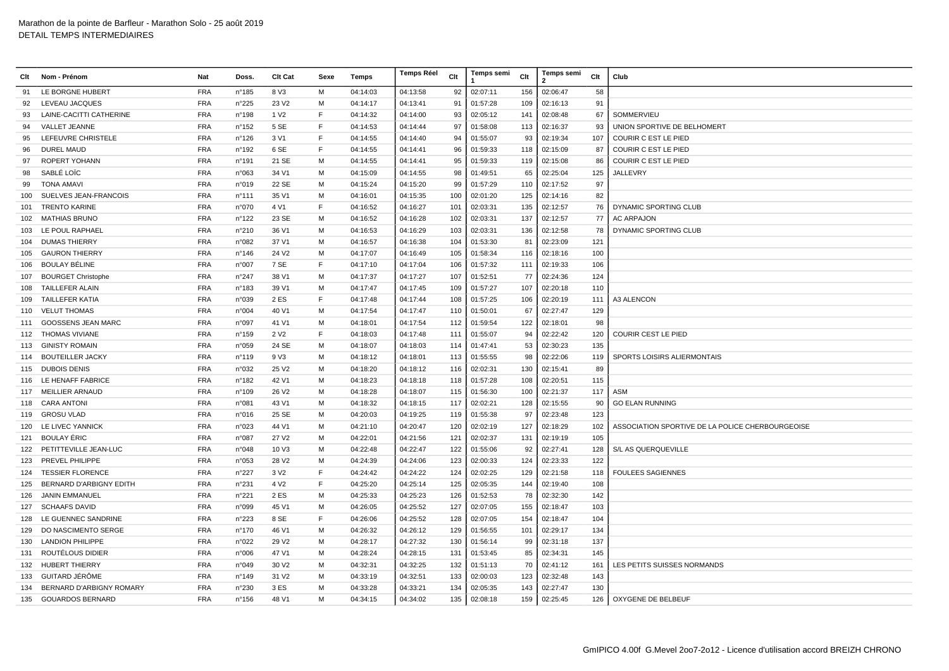| Clt | Nom - Prénom              | Nat        | Doss.           | Clt Cat           | Sexe | Temps    | <b>Temps Réel</b> | Clt | Temps semi | Clt | <b>Temps semi</b><br>2 | Clt | Club                                             |
|-----|---------------------------|------------|-----------------|-------------------|------|----------|-------------------|-----|------------|-----|------------------------|-----|--------------------------------------------------|
| 91  | LE BORGNE HUBERT          | <b>FRA</b> | n°185           | 8 V3              | M    | 04:14:03 | 04:13:58          | 92  | 02:07:11   | 156 | 02:06:47               | 58  |                                                  |
| 92  | LEVEAU JACQUES            | <b>FRA</b> | n°225           | 23 V <sub>2</sub> | M    | 04:14:17 | 04:13:41          | 91  | 01:57:28   | 109 | 02:16:13               | 91  |                                                  |
| 93  | LAINE-CACITTI CATHERINE   | <b>FRA</b> | n°198           | 1 V <sub>2</sub>  | F    | 04:14:32 | 04:14:00          | 93  | 02:05:12   | 141 | 02:08:48               | 67  | SOMMERVIEU                                       |
| 94  | VALLET JEANNE             | <b>FRA</b> | n°152           | 5 SE              | F    | 04:14:53 | 04:14:44          | 97  | 01:58:08   | 113 | 02:16:37               | 93  | UNION SPORTIVE DE BELHOMERT                      |
| 95  | LEFEUVRE CHRISTELE        | <b>FRA</b> | $n^{\circ}$ 126 | 3 V1              | F    | 04:14:55 | 04:14:40          | 94  | 01:55:07   | 93  | 02:19:34               | 107 | <b>COURIR C EST LE PIED</b>                      |
| 96  | <b>DUREL MAUD</b>         | <b>FRA</b> | n°192           | 6 SE              | E    | 04:14:55 | 04:14:41          | 96  | 01:59:33   | 118 | 02:15:09               | 87  | <b>COURIR C EST LE PIED</b>                      |
| 97  | ROPERT YOHANN             | <b>FRA</b> | n°191           | 21 SE             | M    | 04:14:55 | 04:14:41          | 95  | 01:59:33   | 119 | 02:15:08               | 86  | <b>COURIR C EST LE PIED</b>                      |
| 98  | SABLÉ LOÏC                | <b>FRA</b> | n°063           | 34 V1             | M    | 04:15:09 | 04:14:55          | 98  | 01:49:51   | 65  | 02:25:04               | 125 | JALLEVRY                                         |
| 99  | <b>TONA AMAVI</b>         | <b>FRA</b> | n°019           | 22 SE             | м    | 04:15:24 | 04:15:20          | 99  | 01:57:29   | 110 | 02:17:52               | 97  |                                                  |
| 100 | SUELVES JEAN-FRANCOIS     | <b>FRA</b> | n°111           | 35 V1             | м    | 04:16:01 | 04:15:35          | 100 | 02:01:20   | 125 | 02:14:16               | 82  |                                                  |
| 101 | <b>TRENTO KARINE</b>      | <b>FRA</b> | n°070           | 4 V1              | F    | 04:16:52 | 04:16:27          | 101 | 02:03:31   | 135 | 02:12:57               | 76  | DYNAMIC SPORTING CLUB                            |
| 102 | <b>MATHIAS BRUNO</b>      | <b>FRA</b> | n°122           | 23 SE             | M    | 04:16:52 | 04:16:28          | 102 | 02:03:31   | 137 | 02:12:57               | 77  | <b>AC ARPAJON</b>                                |
| 103 | LE POUL RAPHAEL           | <b>FRA</b> | n°210           | 36 V1             | M    | 04:16:53 | 04:16:29          | 103 | 02:03:31   | 136 | 02:12:58               | 78  | DYNAMIC SPORTING CLUB                            |
| 104 | <b>DUMAS THIERRY</b>      | <b>FRA</b> | n°082           | 37 V1             | м    | 04:16:57 | 04:16:38          | 104 | 01:53:30   | 81  | 02:23:09               | 121 |                                                  |
| 105 | <b>GAURON THIERRY</b>     | <b>FRA</b> | $n^{\circ}$ 146 | 24 V <sub>2</sub> | м    | 04:17:07 | 04:16:49          | 105 | 01:58:34   | 116 | 02:18:16               | 100 |                                                  |
| 106 | BOULAY BÉLINE             | <b>FRA</b> | n°007           | 7 SE              | F    | 04:17:10 | 04:17:04          | 106 | 01:57:32   | 111 | 02:19:33               | 106 |                                                  |
| 107 | <b>BOURGET Christophe</b> | <b>FRA</b> | n°247           | 38 V1             | M    | 04:17:37 | 04:17:27          | 107 | 01:52:51   | 77  | 02:24:36               | 124 |                                                  |
| 108 | TAILLEFER ALAIN           | <b>FRA</b> | n°183           | 39 V1             | M    | 04:17:47 | 04:17:45          | 109 | 01:57:27   | 107 | 02:20:18               | 110 |                                                  |
| 109 | <b>TAILLEFER KATIA</b>    | <b>FRA</b> | n°039           | 2 ES              | F    | 04:17:48 | 04:17:44          | 108 | 01:57:25   | 106 | 02:20:19               | 111 | A3 ALENCON                                       |
| 110 | <b>VELUT THOMAS</b>       | <b>FRA</b> | n°004           | 40 V1             | м    | 04:17:54 | 04:17:47          | 110 | 01:50:01   | 67  | 02:27:47               | 129 |                                                  |
| 111 | <b>GOOSSENS JEAN MARC</b> | <b>FRA</b> | n°097           | 41 V1             | м    | 04:18:01 | 04:17:54          | 112 | 01:59:54   | 122 | 02:18:01               | 98  |                                                  |
| 112 | <b>THOMAS VIVIANE</b>     | <b>FRA</b> | $n^{\circ}$ 159 | 2 V <sub>2</sub>  | F    | 04:18:03 | 04:17:48          | 111 | 01:55:07   | 94  | 02:22:42               | 120 | <b>COURIR CEST LE PIED</b>                       |
| 113 | <b>GINISTY ROMAIN</b>     | <b>FRA</b> | n°059           | 24 SE             | M    | 04:18:07 | 04:18:03          | 114 | 01:47:41   | 53  | 02:30:23               | 135 |                                                  |
|     | 114 BOUTEILLER JACKY      | <b>FRA</b> | $n^{\circ}119$  | 9 V3              | M    | 04:18:12 | 04:18:01          | 113 | 01:55:55   | 98  | 02:22:06               | 119 | SPORTS LOISIRS ALIERMONTAIS                      |
| 115 | <b>DUBOIS DENIS</b>       | <b>FRA</b> | n°032           | 25 V <sub>2</sub> | м    | 04:18:20 | 04:18:12          | 116 | 02:02:31   | 130 | 02:15:41               | 89  |                                                  |
|     | 116 LE HENAFF FABRICE     | <b>FRA</b> | $n^{\circ}$ 182 | 42 V1             | м    | 04:18:23 | 04:18:18          | 118 | 01:57:28   | 108 | 02:20:51               | 115 |                                                  |
| 117 | MEILLIER ARNAUD           | <b>FRA</b> | n°109           | 26 V <sub>2</sub> | м    | 04:18:28 | 04:18:07          | 115 | 01:56:30   | 100 | 02:21:37               | 117 | ASM                                              |
| 118 | <b>CARA ANTONI</b>        | <b>FRA</b> | n°081           | 43 V1             | M    | 04:18:32 | 04:18:15          | 117 | 02:02:21   | 128 | 02:15:55               | 90  | <b>GO ELAN RUNNING</b>                           |
| 119 | <b>GROSU VLAD</b>         | <b>FRA</b> | n°016           | 25 SE             | M    | 04:20:03 | 04:19:25          | 119 | 01:55:38   | 97  | 02:23:48               | 123 |                                                  |
| 120 | LE LIVEC YANNICK          | <b>FRA</b> | n°023           | 44 V1             | M    | 04:21:10 | 04:20:47          | 120 | 02:02:19   | 127 | 02:18:29               | 102 | ASSOCIATION SPORTIVE DE LA POLICE CHERBOURGEOISE |
| 121 | <b>BOULAY ÉRIC</b>        | <b>FRA</b> | n°087           | 27 V <sub>2</sub> | м    | 04:22:01 | 04:21:56          | 121 | 02:02:37   | 131 | 02:19:19               | 105 |                                                  |
| 122 | PETITTEVILLE JEAN-LUC     | <b>FRA</b> | n°048           | 10 V3             | м    | 04:22:48 | 04:22:47          | 122 | 01:55:06   | 92  | 02:27:41               | 128 | S/L AS QUERQUEVILLE                              |
| 123 | PREVEL PHILIPPE           | <b>FRA</b> | n°053           | 28 V2             | м    | 04:24:39 | 04:24:06          | 123 | 02:00:33   | 124 | 02:23:33               | 122 |                                                  |
| 124 | <b>TESSIER FLORENCE</b>   | <b>FRA</b> | n°227           | 3 V <sub>2</sub>  | E    | 04:24:42 | 04:24:22          | 124 | 02:02:25   | 129 | 02:21:58               | 118 | <b>FOULEES SAGIENNES</b>                         |
| 125 | BERNARD D'ARBIGNY EDITH   | <b>FRA</b> | n°231           | 4 V <sub>2</sub>  | E    | 04:25:20 | 04:25:14          | 125 | 02:05:35   | 144 | 02:19:40               | 108 |                                                  |
| 126 | <b>JANIN EMMANUEL</b>     | <b>FRA</b> | n°221           | 2 ES              | M    | 04:25:33 | 04:25:23          | 126 | 01:52:53   | 78  | 02:32:30               | 142 |                                                  |
| 127 | <b>SCHAAFS DAVID</b>      | <b>FRA</b> | n°099           | 45 V1             | м    | 04:26:05 | 04:25:52          | 127 | 02:07:05   | 155 | 02:18:47               | 103 |                                                  |
| 128 | LE GUENNEC SANDRINE       | <b>FRA</b> | n°223           | 8 SE              | F    | 04:26:06 | 04:25:52          | 128 | 02:07:05   | 154 | 02:18:47               | 104 |                                                  |
| 129 | DO NASCIMENTO SERGE       | <b>FRA</b> | $n^{\circ}$ 170 | 46 V1             | м    | 04:26:32 | 04:26:12          | 129 | 01:56:55   | 101 | 02:29:17               | 134 |                                                  |
| 130 | <b>LANDION PHILIPPE</b>   | <b>FRA</b> | n°022           | 29 V <sub>2</sub> | M    | 04:28:17 | 04:27:32          | 130 | 01:56:14   | 99  | 02:31:18               | 137 |                                                  |
| 131 | ROUTÉLOUS DIDIER          | <b>FRA</b> | n°006           | 47 V1             | M    | 04:28:24 | 04:28:15          | 131 | 01:53:45   | 85  | 02:34:31               | 145 |                                                  |
| 132 | <b>HUBERT THIERRY</b>     | <b>FRA</b> | n°049           | 30 V <sub>2</sub> | м    | 04:32:31 | 04:32:25          | 132 | 01:51:13   | 70  | 02:41:12               | 161 | LES PETITS SUISSES NORMANDS                      |
| 133 | GUITARD JÉRÔME            | <b>FRA</b> | $n^{\circ}$ 149 | 31 V <sub>2</sub> | м    | 04:33:19 | 04:32:51          | 133 | 02:00:03   | 123 | 02:32:48               | 143 |                                                  |
| 134 | BERNARD D'ARBIGNY ROMARY  | <b>FRA</b> | n°230           | 3 ES              | м    | 04:33:28 | 04:33:21          | 134 | 02:05:35   | 143 | 02:27:47               | 130 |                                                  |
|     | 135 GOUARDOS BERNARD      | <b>FRA</b> | $n^{\circ}$ 156 | 48 V1             | м    | 04:34:15 | 04:34:02          | 135 | 02:08:18   | 159 | 02:25:45               | 126 | OXYGENE DE BELBEUF                               |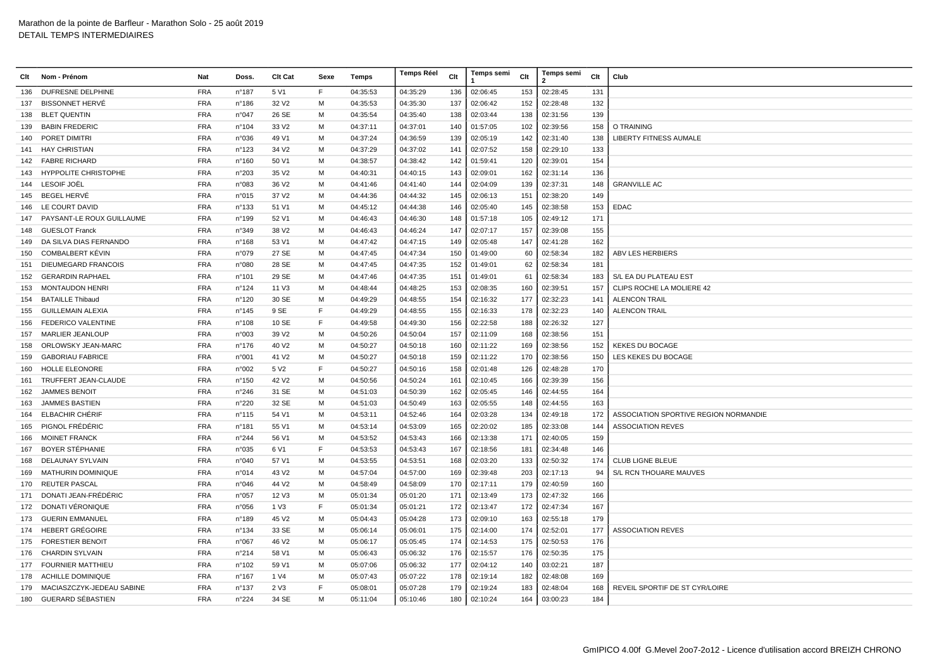| Clt | Nom - Prénom                | Nat        | Doss.           | Clt Cat           | Sexe        | Temps    | <b>Temps Réel</b> | Clt | Temps semi | Clt | <b>Temps semi</b><br>2 | Clt | Club                                  |
|-----|-----------------------------|------------|-----------------|-------------------|-------------|----------|-------------------|-----|------------|-----|------------------------|-----|---------------------------------------|
| 136 | <b>DUFRESNE DELPHINE</b>    | <b>FRA</b> | n°187           | 5 V1              | F           | 04:35:53 | 04:35:29          | 136 | 02:06:45   | 153 | 02:28:45               | 131 |                                       |
| 137 | <b>BISSONNET HERVÉ</b>      | <b>FRA</b> | n°186           | 32 V <sub>2</sub> | M           | 04:35:53 | 04:35:30          | 137 | 02:06:42   | 152 | 02:28:48               | 132 |                                       |
| 138 | <b>BLET QUENTIN</b>         | <b>FRA</b> | n°047           | 26 SE             | M           | 04:35:54 | 04:35:40          | 138 | 02:03:44   | 138 | 02:31:56               | 139 |                                       |
| 139 | <b>BABIN FREDERIC</b>       | <b>FRA</b> | n°104           | 33 V <sub>2</sub> | M           | 04:37:11 | 04:37:01          | 140 | 01:57:05   | 102 | 02:39:56               | 158 | O TRAINING                            |
| 140 | PORET DIMITRI               | <b>FRA</b> | n°036           | 49 V1             | м           | 04:37:24 | 04:36:59          | 139 | 02:05:19   | 142 | 02:31:40               | 138 | <b>LIBERTY FITNESS AUMALE</b>         |
| 141 | <b>HAY CHRISTIAN</b>        | <b>FRA</b> | n°123           | 34 V <sub>2</sub> | м           | 04:37:29 | 04:37:02          | 141 | 02:07:52   | 158 | 02:29:10               | 133 |                                       |
| 142 | <b>FABRE RICHARD</b>        | <b>FRA</b> | $n^{\circ}$ 160 | 50 V1             | M           | 04:38:57 | 04:38:42          | 142 | 01:59:41   | 120 | 02:39:01               | 154 |                                       |
| 143 | <b>HYPPOLITE CHRISTOPHE</b> | <b>FRA</b> | n°203           | 35 V2             | M           | 04:40:31 | 04:40:15          | 143 | 02:09:01   | 162 | 02:31:14               | 136 |                                       |
| 144 | LESOIF JOËL                 | <b>FRA</b> | n°083           | 36 V <sub>2</sub> | M           | 04:41:46 | 04:41:40          | 144 | 02:04:09   | 139 | 02:37:31               | 148 | <b>GRANVILLE AC</b>                   |
| 145 | <b>BEGEL HERVÉ</b>          | <b>FRA</b> | n°015           | 37 V <sub>2</sub> | M           | 04:44:36 | 04:44:32          | 145 | 02:06:13   | 151 | 02:38:20               | 149 |                                       |
| 146 | LE COURT DAVID              | <b>FRA</b> | n°133           | 51 V1             | м           | 04:45:12 | 04:44:38          | 146 | 02:05:40   | 145 | 02:38:58               | 153 | <b>EDAC</b>                           |
| 147 | PAYSANT-LE ROUX GUILLAUME   | <b>FRA</b> | n°199           | 52 V1             | м           | 04:46:43 | 04:46:30          | 148 | 01:57:18   | 105 | 02:49:12               | 171 |                                       |
| 148 | <b>GUESLOT Franck</b>       | <b>FRA</b> | n°349           | 38 V2             | м           | 04:46:43 | 04:46:24          | 147 | 02:07:17   | 157 | 02:39:08               | 155 |                                       |
| 149 | DA SILVA DIAS FERNANDO      | <b>FRA</b> | n°168           | 53 V1             | м           | 04:47:42 | 04:47:15          | 149 | 02:05:48   | 147 | 02:41:28               | 162 |                                       |
| 150 | <b>COMBALBERT KÉVIN</b>     | <b>FRA</b> | n°079           | 27 SE             | M           | 04:47:45 | 04:47:34          | 150 | 01:49:00   | 60  | 02:58:34               | 182 | <b>ABV LES HERBIERS</b>               |
| 151 | <b>DIEUMEGARD FRANCOIS</b>  | <b>FRA</b> | n°080           | 28 SE             | M           | 04:47:45 | 04:47:35          | 152 | 01:49:01   | 62  | 02:58:34               | 181 |                                       |
| 152 | <b>GERARDIN RAPHAEL</b>     | <b>FRA</b> | n°101           | 29 SE             | M           | 04:47:46 | 04:47:35          | 151 | 01:49:01   | 61  | 02:58:34               | 183 | S/L EA DU PLATEAU EST                 |
| 153 | <b>MONTAUDON HENRI</b>      | <b>FRA</b> | n°124           | 11 V3             | M           | 04:48:44 | 04:48:25          | 153 | 02:08:35   | 160 | 02:39:51               | 157 | CLIPS ROCHE LA MOLIERE 42             |
| 154 | <b>BATAILLE Thibaud</b>     | <b>FRA</b> | n°120           | 30 SE             | м           | 04:49:29 | 04:48:55          | 154 | 02:16:32   | 177 | 02:32:23               | 141 | <b>ALENCON TRAIL</b>                  |
| 155 | <b>GUILLEMAIN ALEXIA</b>    | <b>FRA</b> | n°145           | 9 SE              | $\mathsf F$ | 04:49:29 | 04:48:55          | 155 | 02:16:33   | 178 | 02:32:23               | 140 | <b>ALENCON TRAIL</b>                  |
| 156 | FEDERICO VALENTINE          | <b>FRA</b> | n°108           | 10 SE             | F           | 04:49:58 | 04:49:30          | 156 | 02:22:58   | 188 | 02:26:32               | 127 |                                       |
| 157 | <b>MARLIER JEANLOUP</b>     | <b>FRA</b> | n°003           | 39 V <sub>2</sub> | м           | 04:50:26 | 04:50:04          | 157 | 02:11:09   | 168 | 02:38:56               | 151 |                                       |
| 158 | ORLOWSKY JEAN-MARC          | <b>FRA</b> | $n^{\circ}$ 176 | 40 V <sub>2</sub> | M           | 04:50:27 | 04:50:18          | 160 | 02:11:22   | 169 | 02:38:56               | 152 | <b>KEKES DU BOCAGE</b>                |
| 159 | <b>GABORIAU FABRICE</b>     | <b>FRA</b> | n°001           | 41 V <sub>2</sub> | M           | 04:50:27 | 04:50:18          | 159 | 02:11:22   | 170 | 02:38:56               | 150 | LES KEKES DU BOCAGE                   |
| 160 | HOLLE ELEONORE              | <b>FRA</b> | n°002           | 5 V <sub>2</sub>  | F           | 04:50:27 | 04:50:16          | 158 | 02:01:48   | 126 | 02:48:28               | 170 |                                       |
| 161 | TRUFFERT JEAN-CLAUDE        | <b>FRA</b> | n°150           | 42 V <sub>2</sub> | м           | 04:50:56 | 04:50:24          | 161 | 02:10:45   | 166 | 02:39:39               | 156 |                                       |
| 162 | <b>JAMMES BENOIT</b>        | <b>FRA</b> | n°246           | 31 SE             | м           | 04:51:03 | 04:50:39          | 162 | 02:05:45   | 146 | 02:44:55               | 164 |                                       |
| 163 | <b>JAMMES BASTIEN</b>       | <b>FRA</b> | n°220           | 32 SE             | м           | 04:51:03 | 04:50:49          | 163 | 02:05:55   | 148 | 02:44:55               | 163 |                                       |
| 164 | ELBACHIR CHÉRIF             | <b>FRA</b> | $n^{\circ}$ 115 | 54 V1             | м           | 04:53:11 | 04:52:46          | 164 | 02:03:28   | 134 | 02:49:18               | 172 | ASSOCIATION SPORTIVE REGION NORMANDIE |
| 165 | PIGNOL FRÉDÉRIC             | <b>FRA</b> | n°181           | 55 V1             | M           | 04:53:14 | 04:53:09          | 165 | 02:20:02   | 185 | 02:33:08               | 144 | <b>ASSOCIATION REVES</b>              |
| 166 | <b>MOINET FRANCK</b>        | <b>FRA</b> | n°244           | 56 V1             | M           | 04:53:52 | 04:53:43          | 166 | 02:13:38   | 171 | 02:40:05               | 159 |                                       |
| 167 | BOYER STÉPHANIE             | <b>FRA</b> | n°035           | 6 V1              | E           | 04:53:53 | 04:53:43          | 167 | 02:18:56   | 181 | 02:34:48               | 146 |                                       |
| 168 | <b>DELAUNAY SYLVAIN</b>     | <b>FRA</b> | n°040           | 57 V1             | м           | 04:53:55 | 04:53:51          | 168 | 02:03:20   | 133 | 02:50:32               | 174 | <b>CLUB LIGNE BLEUE</b>               |
| 169 | <b>MATHURIN DOMINIQUE</b>   | <b>FRA</b> | n°014           | 43 V <sub>2</sub> | M           | 04:57:04 | 04:57:00          | 169 | 02:39:48   | 203 | 02:17:13               | 94  | S/L RCN THOUARE MAUVES                |
| 170 | <b>REUTER PASCAL</b>        | <b>FRA</b> | n°046           | 44 V <sub>2</sub> | м           | 04:58:49 | 04:58:09          | 170 | 02:17:11   | 179 | 02:40:59               | 160 |                                       |
| 171 | DONATI JEAN-FRÉDÉRIC        | <b>FRA</b> | n°057           | 12 V3             | M           | 05:01:34 | 05:01:20          | 171 | 02:13:49   | 173 | 02:47:32               | 166 |                                       |
| 172 | DONATI VÉRONIQUE            | <b>FRA</b> | n°056           | 1 V3              | E           | 05:01:34 | 05:01:21          | 172 | 02:13:47   | 172 | 02:47:34               | 167 |                                       |
| 173 | <b>GUERIN EMMANUEL</b>      | <b>FRA</b> | n°189           | 45 V2             | M           | 05:04:43 | 05:04:28          | 173 | 02:09:10   | 163 | 02:55:18               | 179 |                                       |
| 174 | <b>HEBERT GRÉGOIRE</b>      | <b>FRA</b> | n°134           | 33 SE             | M           | 05:06:14 | 05:06:01          | 175 | 02:14:00   | 174 | 02:52:01               | 177 | <b>ASSOCIATION REVES</b>              |
| 175 | <b>FORESTIER BENOIT</b>     | <b>FRA</b> | n°067           | 46 V <sub>2</sub> | M           | 05:06:17 | 05:05:45          | 174 | 02:14:53   | 175 | 02:50:53               | 176 |                                       |
| 176 | <b>CHARDIN SYLVAIN</b>      | <b>FRA</b> | n°214           | 58 V1             | м           | 05:06:43 | 05:06:32          | 176 | 02:15:57   | 176 | 02:50:35               | 175 |                                       |
| 177 | <b>FOURNIER MATTHIEU</b>    | <b>FRA</b> | n°102           | 59 V1             | м           | 05:07:06 | 05:06:32          | 177 | 02:04:12   | 140 | 03:02:21               | 187 |                                       |
|     | 178 ACHILLE DOMINIQUE       | <b>FRA</b> | $n^{\circ}$ 167 | 1 V4              | м           | 05:07:43 | 05:07:22          | 178 | 02:19:14   | 182 | 02:48:08               | 169 |                                       |
| 179 | MACIASZCZYK-JEDEAU SABINE   | <b>FRA</b> | n°137           | 2 V3              | E           | 05:08:01 | 05:07:28          | 179 | 02:19:24   | 183 | 02:48:04               | 168 | REVEIL SPORTIF DE ST CYR/LOIRE        |
| 180 | GUERARD SÉBASTIEN           | <b>FRA</b> | $n^{\circ}224$  | 34 SE             | M           | 05:11:04 | 05:10:46          | 180 | 02:10:24   | 164 | 03:00:23               | 184 |                                       |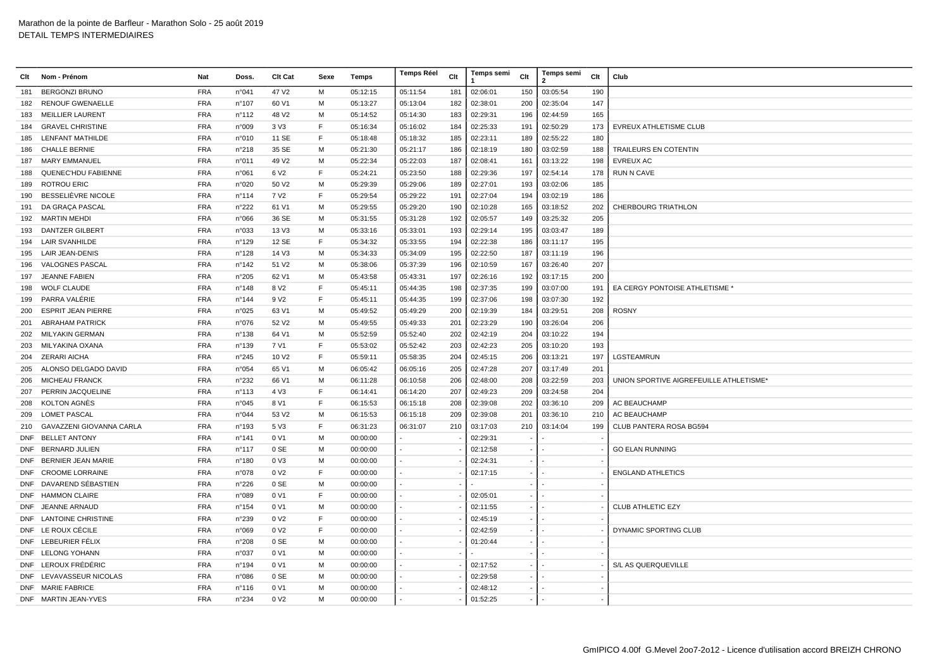| Clt        | Nom - Prénom                                     | Nat                      | Doss.           | Clt Cat                              | Sexe   | Temps                | <b>Temps Réel</b> | Clt | Temps semi           | Clt                      | Temps semi<br>$\overline{2}$ | Clt | Club                                    |
|------------|--------------------------------------------------|--------------------------|-----------------|--------------------------------------|--------|----------------------|-------------------|-----|----------------------|--------------------------|------------------------------|-----|-----------------------------------------|
| 181        | <b>BERGONZI BRUNO</b>                            | <b>FRA</b>               | n°041           | 47 V <sub>2</sub>                    | M      | 05:12:15             | 05:11:54          | 181 | 02:06:01             | 150                      | 03:05:54                     | 190 |                                         |
| 182        | <b>RENOUF GWENAELLE</b>                          | <b>FRA</b>               | n°107           | 60 V1                                | M      | 05:13:27             | 05:13:04          | 182 | 02:38:01             | 200                      | 02:35:04                     | 147 |                                         |
| 183        | <b>MEILLIER LAURENT</b>                          | <b>FRA</b>               | n°112           | 48 V2                                | M      | 05:14:52             | 05:14:30          | 183 | 02:29:31             | 196                      | 02:44:59                     | 165 |                                         |
| 184        | <b>GRAVEL CHRISTINE</b>                          | <b>FRA</b>               | n°009           | 3 V3                                 | F      | 05:16:34             | 05:16:02          | 184 | 02:25:33             | 191                      | 02:50:29                     | 173 | EVREUX ATHLETISME CLUB                  |
| 185        | <b>LENFANT MATHILDE</b>                          | <b>FRA</b>               | n°010           | 11 SE                                | F      | 05:18:48             | 05:18:32          | 185 | 02:23:11             | 189                      | 02:55:22                     | 180 |                                         |
| 186        | <b>CHALLE BERNIE</b>                             | <b>FRA</b>               | n°218           | 35 SE                                | M      | 05:21:30             | 05:21:17          | 186 | 02:18:19             | 180                      | 03:02:59                     | 188 | TRAILEURS EN COTENTIN                   |
| 187        | MARY EMMANUEL                                    | <b>FRA</b>               | n°011           | 49 V <sub>2</sub>                    | M      | 05:22:34             | 05:22:03          | 187 | 02:08:41             | 161                      | 03:13:22                     | 198 | <b>EVREUX AC</b>                        |
| 188        | <b>QUENEC'HDU FABIENNE</b>                       | <b>FRA</b>               | n°061           | 6 V <sub>2</sub>                     | F      | 05:24:21             | 05:23:50          | 188 | 02:29:36             | 197                      | 02:54:14                     | 178 | <b>RUN N CAVE</b>                       |
| 189        | <b>ROTROU ERIC</b>                               | <b>FRA</b>               | n°020           | 50 V <sub>2</sub>                    | M      | 05:29:39             | 05:29:06          | 189 | 02:27:01             | 193                      | 03:02:06                     | 185 |                                         |
| 190        | BESSELIÈVRE NICOLE                               | <b>FRA</b>               | n°114           | 7 V <sub>2</sub>                     | F      | 05:29:54             | 05:29:22          | 191 | 02:27:04             | 194                      | 03:02:19                     | 186 |                                         |
| 191        | DA GRAÇA PASCAL                                  | <b>FRA</b>               | n°222           | 61 V1                                | M      | 05:29:55             | 05:29:20          | 190 | 02:10:28             | 165                      | 03:18:52                     | 202 | <b>CHERBOURG TRIATHLON</b>              |
|            | 192 MARTIN MEHDI                                 | <b>FRA</b>               | n°066           | 36 SE                                | M      | 05:31:55             | 05:31:28          | 192 | 02:05:57             | 149                      | 03:25:32                     | 205 |                                         |
| 193        | <b>DANTZER GILBERT</b>                           | <b>FRA</b>               | n°033           | 13 V3                                | M      | 05:33:16             | 05:33:01          | 193 | 02:29:14             | 195                      | 03:03:47                     | 189 |                                         |
| 194        | <b>LAIR SVANHILDE</b>                            | <b>FRA</b>               | n°129           | 12 SE                                | F      | 05:34:32             | 05:33:55          | 194 | 02:22:38             | 186                      | 03:11:17                     | 195 |                                         |
|            | 195 LAIR JEAN-DENIS                              | <b>FRA</b>               | n°128           | 14 V3                                | M      | 05:34:33             | 05:34:09          | 195 | 02:22:50             | 187                      | 03:11:19                     | 196 |                                         |
| 196        | VALOGNES PASCAL                                  | <b>FRA</b>               | n°142           | 51 V <sub>2</sub>                    | M      | 05:38:06             | 05:37:39          | 196 | 02:10:59             | 167                      | 03:26:40                     | 207 |                                         |
| 197        | JEANNE FABIEN                                    | <b>FRA</b>               | n°205           | 62 V1                                | M      | 05:43:58             | 05:43:31          | 197 | 02:26:16             | 192                      | 03:17:15                     | 200 |                                         |
| 198        | <b>WOLF CLAUDE</b>                               | <b>FRA</b>               | n°148           | 8 V <sub>2</sub>                     | F      | 05:45:11             | 05:44:35          | 198 | 02:37:35             | 199                      | 03:07:00                     | 191 | EA CERGY PONTOISE ATHLETISME            |
| 199        | PARRA VALÉRIE                                    | <b>FRA</b>               | n°144           | 9 V <sub>2</sub>                     | F      | 05:45:11             | 05:44:35          | 199 | 02:37:06             | 198                      | 03:07:30                     | 192 |                                         |
| 200        | <b>ESPRIT JEAN PIERRE</b>                        | <b>FRA</b>               | n°025           | 63 V1                                | M      | 05:49:52             | 05:49:29          | 200 | 02:19:39             | 184                      | 03:29:51                     | 208 | <b>ROSNY</b>                            |
| 201        | <b>ABRAHAM PATRICK</b>                           | <b>FRA</b>               | n°076           | 52 V <sub>2</sub>                    | M      | 05:49:55             | 05:49:33          | 201 | 02:23:29             | 190                      | 03:26:04                     | 206 |                                         |
| 202        | MILYAKIN GERMAN                                  | <b>FRA</b>               | n°138           | 64 V1                                | M      | 05:52:59             | 05:52:40          | 202 | 02:42:19             | 204                      | 03:10:22                     | 194 |                                         |
| 203        | MILYAKINA OXANA                                  | <b>FRA</b>               | n°139           | 7 V1                                 | F      | 05:53:02             | 05:52:42          | 203 | 02:42:23             | 205                      | 03:10:20                     | 193 |                                         |
| 204        | ZERARI AICHA                                     | <b>FRA</b>               | n°245           | 10 V <sub>2</sub>                    | F      | 05:59:11             | 05:58:35          | 204 | 02:45:15             | 206                      | 03:13:21                     | 197 | LGSTEAMRUN                              |
| 205        | ALONSO DELGADO DAVID                             | <b>FRA</b>               | n°054           | 65 V1                                | M      | 06:05:42             | 06:05:16          | 205 | 02:47:28             | 207                      | 03:17:49                     | 201 |                                         |
| 206        | <b>MICHEAU FRANCK</b>                            | <b>FRA</b>               | n°232           | 66 V1                                | M      | 06:11:28             | 06:10:58          | 206 | 02:48:00             | 208                      | 03:22:59                     | 203 | UNION SPORTIVE AIGREFEUILLE ATHLETISME* |
| 207        | PERRIN JACQUELINE                                | <b>FRA</b>               | n°113           | 4 V3                                 | F      | 06:14:41             | 06:14:20          | 207 | 02:49:23             | 209                      | 03:24:58                     | 204 |                                         |
| 208        | KOLTON AGNÈS                                     | <b>FRA</b>               | n°045           | 8 V1                                 | F      | 06:15:53             | 06:15:18          | 208 | 02:39:08             | 202                      | 03:36:10                     | 209 | <b>AC BEAUCHAMP</b>                     |
| 209        | <b>LOMET PASCAL</b>                              | <b>FRA</b>               | n°044           | 53 V2                                | M      | 06:15:53             | 06:15:18          | 209 | 02:39:08             | 201                      | 03:36:10                     | 210 | <b>AC BEAUCHAMP</b>                     |
| 210        | GAVAZZENI GIOVANNA CARLA                         | <b>FRA</b>               | n°193           | 5 V3                                 | F      | 06:31:23             | 06:31:07          | 210 | 03:17:03             | 210                      | 03:14:04                     | 199 | CLUB PANTERA ROSA BG594                 |
|            | DNF BELLET ANTONY                                | <b>FRA</b>               | n°141           | 0 V1                                 | M      | 00:00:00             |                   |     | 02:29:31             |                          |                              |     |                                         |
|            | DNF BERNARD JULIEN<br><b>BERNIER JEAN MARIE</b>  | <b>FRA</b>               | $n^{\circ}$ 117 | 0 SE                                 | M<br>M | 00:00:00             |                   |     | 02:12:58             |                          |                              |     | <b>GO ELAN RUNNING</b>                  |
| <b>DNF</b> |                                                  | <b>FRA</b>               | n°180           | 0 V3<br>0 V <sub>2</sub>             | F      | 00:00:00             |                   |     | 02:24:31             |                          |                              |     |                                         |
| <b>DNF</b> | <b>CROOME LORRAINE</b><br>DNF DAVAREND SÉBASTIEN | <b>FRA</b><br><b>FRA</b> | n°078<br>n°226  | 0 SE                                 | M      | 00:00:00<br>00:00:00 |                   |     | 02:17:15             |                          |                              |     | <b>ENGLAND ATHLETICS</b>                |
|            | DNF HAMMON CLAIRE                                | <b>FRA</b>               | n°089           | 0 V1                                 | F      |                      |                   |     | 02:05:01             |                          |                              |     |                                         |
| <b>DNF</b> | JEANNE ARNAUD                                    | <b>FRA</b>               | n°154           | 0 V1                                 | M      | 00:00:00             |                   |     | 02:11:55             |                          |                              |     | <b>CLUB ATHLETIC EZY</b>                |
|            | DNF LANTOINE CHRISTINE                           | <b>FRA</b>               |                 |                                      | F      | 00:00:00             |                   |     |                      | $\overline{\phantom{a}}$ |                              |     |                                         |
|            | DNF LE ROUX CÉCILE                               | <b>FRA</b>               | n°239           | 0 V <sub>2</sub><br>0 V <sub>2</sub> | F      | 00:00:00             |                   |     | 02:45:19<br>02:42:59 |                          |                              |     |                                         |
|            | DNF LEBEURIER FÉLIX                              | <b>FRA</b>               | n°069<br>n°208  | 0 SE                                 | M      | 00:00:00<br>00:00:00 |                   |     | 01:20:44             |                          |                              |     | DYNAMIC SPORTING CLUB                   |
|            | DNF LELONG YOHANN                                | <b>FRA</b>               | n°037           | 0 V1                                 | M      | 00:00:00             |                   |     |                      |                          |                              |     |                                         |
|            | DNF LEROUX FRÉDÉRIC                              | <b>FRA</b>               | n°194           | 0 V1                                 | M      | 00:00:00             |                   |     | 02:17:52             |                          |                              |     | S/L AS QUERQUEVILLE                     |
|            | DNF LEVAVASSEUR NICOLAS                          | <b>FRA</b>               | n°086           | 0 SE                                 | M      | 00:00:00             |                   |     | 02:29:58             |                          |                              |     |                                         |
|            | DNF MARIE FABRICE                                | <b>FRA</b>               | n°116           | 0 V1                                 | M      | 00:00:00             |                   |     | 02:48:12             |                          |                              |     |                                         |
|            | DNF MARTIN JEAN-YVES                             | <b>FRA</b>               | n°234           | 0 V <sub>2</sub>                     | м      | 00:00:00             |                   |     | 01:52:25             |                          |                              |     |                                         |
|            |                                                  |                          |                 |                                      |        |                      |                   |     |                      |                          |                              |     |                                         |